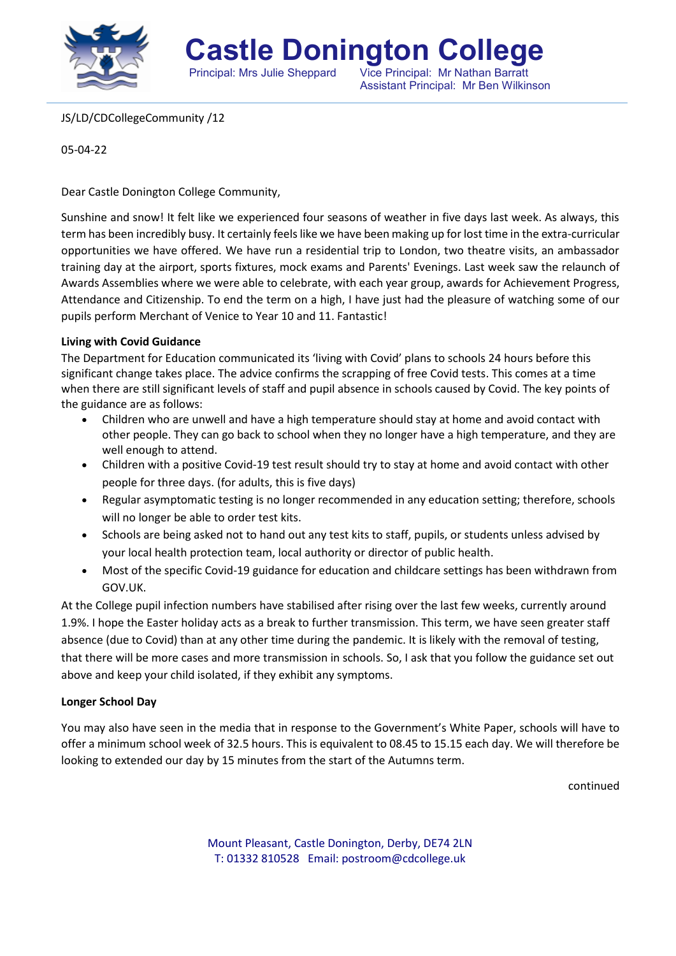

**Castle Donington College**<br>**Principal: Mrs Julie Sheppard Vice Principal: Mr Nathan Barratt** Vice Principal: Mr Nathan Barratt Assistant Principal: Mr Ben Wilkinson

JS/LD/CDCollegeCommunity /12

05-04-22

Dear Castle Donington College Community,

Sunshine and snow! It felt like we experienced four seasons of weather in five days last week. As always, this term has been incredibly busy. It certainly feels like we have been making up for lost time in the extra-curricular opportunities we have offered. We have run a residential trip to London, two theatre visits, an ambassador training day at the airport, sports fixtures, mock exams and Parents' Evenings. Last week saw the relaunch of Awards Assemblies where we were able to celebrate, with each year group, awards for Achievement Progress, Attendance and Citizenship. To end the term on a high, I have just had the pleasure of watching some of our pupils perform Merchant of Venice to Year 10 and 11. Fantastic!

# **Living with Covid Guidance**

The Department for Education communicated its 'living with Covid' plans to schools 24 hours before this significant change takes place. The advice confirms the scrapping of free Covid tests. This comes at a time when there are still significant levels of staff and pupil absence in schools caused by Covid. The key points of the guidance are as follows:

- Children who are unwell and have a high temperature should stay at home and avoid contact with other people. They can go back to school when they no longer have a high temperature, and they are well enough to attend.
- Children with a positive Covid-19 test result should try to stay at home and avoid contact with other people for three days. (for adults, this is five days)
- Regular asymptomatic testing is no longer recommended in any education setting; therefore, schools will no longer be able to order test kits.
- Schools are being asked not to hand out any test kits to staff, pupils, or students unless advised by your local health protection team, local authority or director of public health.
- Most of the specific Covid-19 guidance for education and childcare settings has been withdrawn from GOV.UK.

At the College pupil infection numbers have stabilised after rising over the last few weeks, currently around 1.9%. I hope the Easter holiday acts as a break to further transmission. This term, we have seen greater staff absence (due to Covid) than at any other time during the pandemic. It is likely with the removal of testing, that there will be more cases and more transmission in schools. So, I ask that you follow the guidance set out above and keep your child isolated, if they exhibit any symptoms.

# **Longer School Day**

You may also have seen in the media that in response to the Government's White Paper, schools will have to offer a minimum school week of 32.5 hours. This is equivalent to 08.45 to 15.15 each day. We will therefore be looking to extended our day by 15 minutes from the start of the Autumns term.

continued

Mount Pleasant, Castle Donington, Derby, DE74 2LN T: 01332 810528 Email: postroom@cdcollege.uk